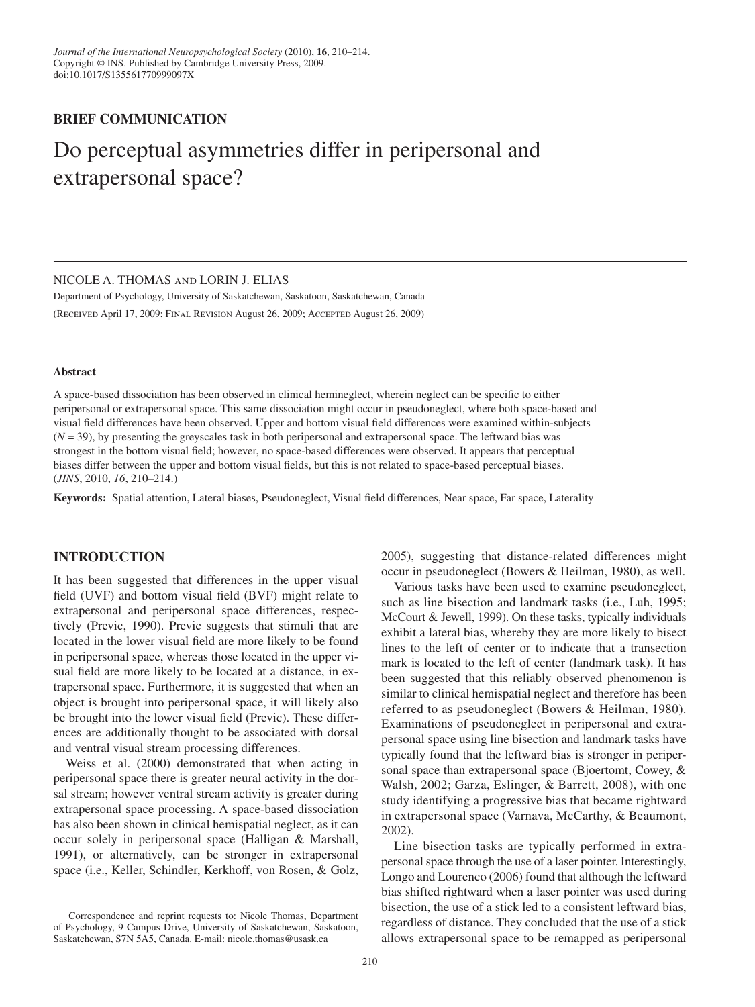## **BRIEF COMMUNICATION**

# Do perceptual asymmetries differ in peripersonal and extrapersonal space?

## NICOLE A. THOMAS and LORIN J. ELIAS

Department of Psychology, University of Saskatchewan, Saskatoon, Saskatchewan, Canada (Received April 17 , 2009 ; Final Revision August 26 , 2009 ; Accepted August 26 , 2009 )

#### **Abstract**

A space-based dissociation has been observed in clinical hemineglect, wherein neglect can be specific to either peripersonal or extrapersonal space. This same dissociation might occur in pseudoneglect, where both space-based and visual field differences have been observed. Upper and bottom visual field differences were examined within-subjects  $(N = 39)$ , by presenting the greyscales task in both peripersonal and extrapersonal space. The leftward bias was strongest in the bottom visual field; however, no space-based differences were observed. It appears that perceptual biases differ between the upper and bottom visual fields, but this is not related to space-based perceptual biases. ( *JINS* , 2010, *16*, 210–214 .)

Keywords: Spatial attention, Lateral biases, Pseudoneglect, Visual field differences, Near space, Far space, Laterality

#### **INTRODUCTION**

 It has been suggested that differences in the upper visual field (UVF) and bottom visual field  $(BVF)$  might relate to extrapersonal and peripersonal space differences, respectively (Previc, 1990). Previc suggests that stimuli that are located in the lower visual field are more likely to be found in peripersonal space, whereas those located in the upper visual field are more likely to be located at a distance, in extrapersonal space. Furthermore, it is suggested that when an object is brought into peripersonal space, it will likely also be brought into the lower visual field (Previc). These differences are additionally thought to be associated with dorsal and ventral visual stream processing differences.

Weiss et al. (2000) demonstrated that when acting in peripersonal space there is greater neural activity in the dorsal stream; however ventral stream activity is greater during extrapersonal space processing. A space-based dissociation has also been shown in clinical hemispatial neglect, as it can occur solely in peripersonal space (Halligan & Marshall, 1991), or alternatively, can be stronger in extrapersonal space (i.e., Keller, Schindler, Kerkhoff, von Rosen, & Golz,

2005), suggesting that distance-related differences might occur in pseudoneglect (Bowers & Heilman, 1980), as well.

 Various tasks have been used to examine pseudoneglect, such as line bisection and landmark tasks (i.e., Luh, 1995; McCourt & Jewell, 1999). On these tasks, typically individuals exhibit a lateral bias, whereby they are more likely to bisect lines to the left of center or to indicate that a transection mark is located to the left of center (landmark task). It has been suggested that this reliably observed phenomenon is similar to clinical hemispatial neglect and therefore has been referred to as pseudoneglect (Bowers & Heilman, 1980). Examinations of pseudoneglect in peripersonal and extrapersonal space using line bisection and landmark tasks have typically found that the leftward bias is stronger in peripersonal space than extrapersonal space (Bjoertomt, Cowey, & Walsh, 2002; Garza, Eslinger, & Barrett, 2008), with one study identifying a progressive bias that became rightward in extrapersonal space (Varnava, McCarthy, & Beaumont, 2002 ).

 Line bisection tasks are typically performed in extrapersonal space through the use of a laser pointer. Interestingly, Longo and Lourenco (2006) found that although the leftward bias shifted rightward when a laser pointer was used during bisection, the use of a stick led to a consistent leftward bias, regardless of distance. They concluded that the use of a stick allows extrapersonal space to be remapped as peripersonal

Correspondence and reprint requests to: Nicole Thomas, Department of Psychology, 9 Campus Drive, University of Saskatchewan, Saskatoon, Saskatchewan, S7N 5A5, Canada. E-mail: nicole.thomas@usask.ca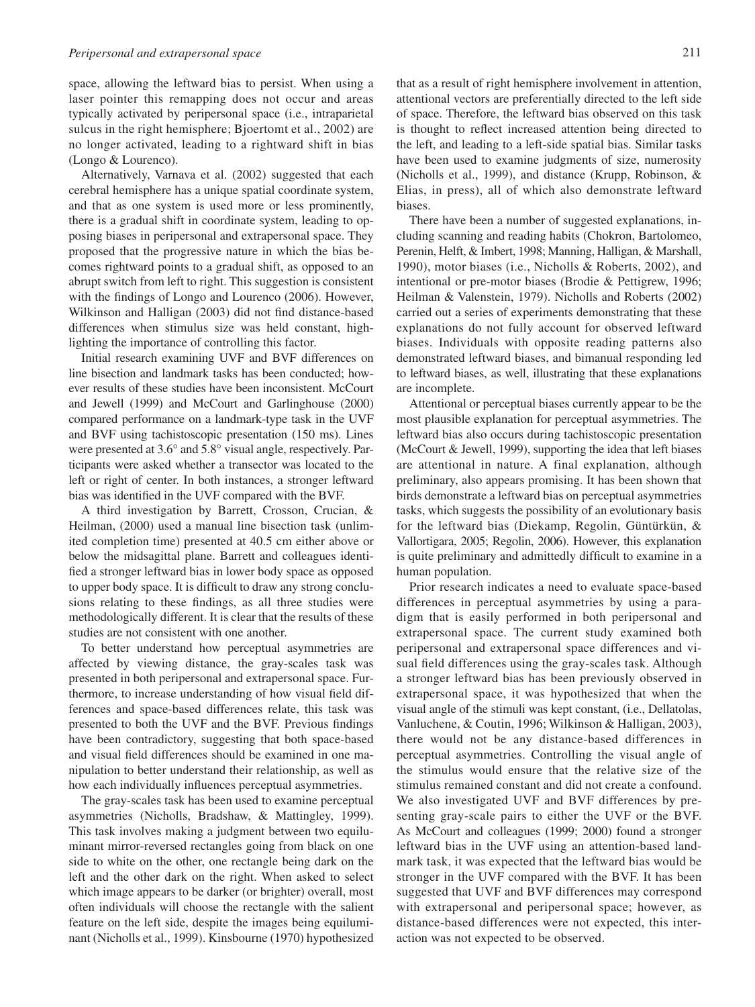#### *Peripersonal and extrapersonal space* 211

space, allowing the leftward bias to persist. When using a laser pointer this remapping does not occur and areas typically activated by peripersonal space (i.e., intraparietal sulcus in the right hemisphere; Bjoertomt et al., 2002) are no longer activated, leading to a rightward shift in bias (Longo & Lourenco).

Alternatively, Varnava et al. (2002) suggested that each cerebral hemisphere has a unique spatial coordinate system, and that as one system is used more or less prominently, there is a gradual shift in coordinate system, leading to opposing biases in peripersonal and extrapersonal space. They proposed that the progressive nature in which the bias becomes rightward points to a gradual shift, as opposed to an abrupt switch from left to right. This suggestion is consistent with the findings of Longo and Lourenco (2006). However, Wilkinson and Halligan (2003) did not find distance-based differences when stimulus size was held constant, highlighting the importance of controlling this factor.

 Initial research examining UVF and BVF differences on line bisection and landmark tasks has been conducted; however results of these studies have been inconsistent. McCourt and Jewell (1999) and McCourt and Garlinghouse (2000) compared performance on a landmark-type task in the UVF and BVF using tachistoscopic presentation (150 ms). Lines were presented at 3.6° and 5.8° visual angle, respectively. Participants were asked whether a transector was located to the left or right of center. In both instances, a stronger leftward bias was identified in the UVF compared with the BVF.

 A third investigation by Barrett, Crosson, Crucian, & Heilman, (2000) used a manual line bisection task (unlimited completion time) presented at 40.5 cm either above or below the midsagittal plane. Barrett and colleagues identified a stronger leftward bias in lower body space as opposed to upper body space. It is difficult to draw any strong conclusions relating to these findings, as all three studies were methodologically different. It is clear that the results of these studies are not consistent with one another.

 To better understand how perceptual asymmetries are affected by viewing distance, the gray-scales task was presented in both peripersonal and extrapersonal space. Furthermore, to increase understanding of how visual field differences and space-based differences relate, this task was presented to both the UVF and the BVF. Previous findings have been contradictory, suggesting that both space-based and visual field differences should be examined in one manipulation to better understand their relationship, as well as how each individually influences perceptual asymmetries.

 The gray-scales task has been used to examine perceptual asymmetries (Nicholls, Bradshaw, & Mattingley, 1999). This task involves making a judgment between two equiluminant mirror-reversed rectangles going from black on one side to white on the other, one rectangle being dark on the left and the other dark on the right. When asked to select which image appears to be darker (or brighter) overall, most often individuals will choose the rectangle with the salient feature on the left side, despite the images being equiluminant (Nicholls et al., 1999). Kinsbourne (1970) hypothesized

that as a result of right hemisphere involvement in attention, attentional vectors are preferentially directed to the left side of space. Therefore, the leftward bias observed on this task is thought to reflect increased attention being directed to the left, and leading to a left-side spatial bias. Similar tasks have been used to examine judgments of size, numerosity (Nicholls et al., 1999), and distance (Krupp, Robinson,  $\&$ Elias, in press ), all of which also demonstrate leftward biases.

 There have been a number of suggested explanations, including scanning and reading habits (Chokron, Bartolomeo, Perenin, Helft, & Imbert, 1998; Manning, Halligan, & Marshall, 1990), motor biases (i.e., Nicholls & Roberts, 2002), and intentional or pre-motor biases (Brodie  $\&$  Pettigrew, 1996; Heilman & Valenstein, 1979). Nicholls and Roberts (2002) carried out a series of experiments demonstrating that these explanations do not fully account for observed leftward biases. Individuals with opposite reading patterns also demonstrated leftward biases, and bimanual responding led to leftward biases, as well, illustrating that these explanations are incomplete.

 Attentional or perceptual biases currently appear to be the most plausible explanation for perceptual asymmetries. The leftward bias also occurs during tachistoscopic presentation (McCourt  $&$  Jewell, 1999), supporting the idea that left biases are attentional in nature. A final explanation, although preliminary, also appears promising. It has been shown that birds demonstrate a leftward bias on perceptual asymmetries tasks, which suggests the possibility of an evolutionary basis for the leftward bias (Diekamp, Regolin, Güntürkün, & Vallortigara, 2005; Regolin, 2006). However, this explanation is quite preliminary and admittedly difficult to examine in a human population.

 Prior research indicates a need to evaluate space-based differences in perceptual asymmetries by using a paradigm that is easily performed in both peripersonal and extrapersonal space. The current study examined both peripersonal and extrapersonal space differences and visual field differences using the gray-scales task. Although a stronger leftward bias has been previously observed in extrapersonal space, it was hypothesized that when the visual angle of the stimuli was kept constant, (i.e., Dellatolas, Vanluchene, & Coutin, 1996; Wilkinson & Halligan, 2003), there would not be any distance-based differences in perceptual asymmetries. Controlling the visual angle of the stimulus would ensure that the relative size of the stimulus remained constant and did not create a confound. We also investigated UVF and BVF differences by presenting gray-scale pairs to either the UVF or the BVF. As McCourt and colleagues (1999; 2000) found a stronger leftward bias in the UVF using an attention-based landmark task, it was expected that the leftward bias would be stronger in the UVF compared with the BVF. It has been suggested that UVF and BVF differences may correspond with extrapersonal and peripersonal space; however, as distance-based differences were not expected, this interaction was not expected to be observed.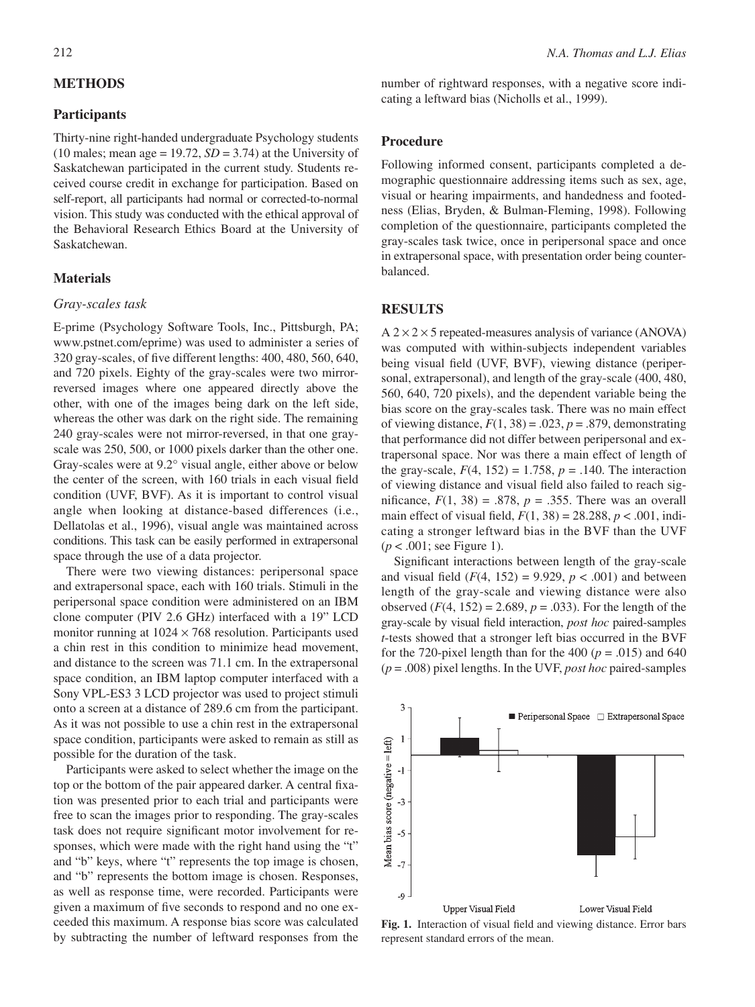# **METHODS**

### **Participants**

 Thirty-nine right-handed undergraduate Psychology students (10 males; mean age =  $19.72$ ,  $SD = 3.74$ ) at the University of Saskatchewan participated in the current study. Students received course credit in exchange for participation. Based on self-report, all participants had normal or corrected-to-normal vision. This study was conducted with the ethical approval of the Behavioral Research Ethics Board at the University of Saskatchewan.

## **Materials**

#### *Gray-scales task*

 E-prime (Psychology Software Tools, Inc., Pittsburgh, PA; www.pstnet.com/eprime) was used to administer a series of 320 gray-scales, of five different lengths: 400, 480, 560, 640, and 720 pixels. Eighty of the gray-scales were two mirrorreversed images where one appeared directly above the other, with one of the images being dark on the left side, whereas the other was dark on the right side. The remaining 240 gray-scales were not mirror-reversed, in that one grayscale was 250, 500, or 1000 pixels darker than the other one. Gray-scales were at 9.2° visual angle, either above or below the center of the screen, with 160 trials in each visual field condition (UVF, BVF). As it is important to control visual angle when looking at distance-based differences (i.e., Dellatolas et al., 1996), visual angle was maintained across conditions. This task can be easily performed in extrapersonal space through the use of a data projector.

 There were two viewing distances: peripersonal space and extrapersonal space, each with 160 trials. Stimuli in the peripersonal space condition were administered on an IBM clone computer (PIV 2.6 GHz) interfaced with a 19" LCD monitor running at  $1024 \times 768$  resolution. Participants used a chin rest in this condition to minimize head movement, and distance to the screen was 71.1 cm. In the extrapersonal space condition, an IBM laptop computer interfaced with a Sony VPL-ES3 3 LCD projector was used to project stimuli onto a screen at a distance of 289.6 cm from the participant. As it was not possible to use a chin rest in the extrapersonal space condition, participants were asked to remain as still as possible for the duration of the task.

 Participants were asked to select whether the image on the top or the bottom of the pair appeared darker. A central fixation was presented prior to each trial and participants were free to scan the images prior to responding. The gray-scales task does not require significant motor involvement for responses, which were made with the right hand using the "t" and "b" keys, where "t" represents the top image is chosen, and "b" represents the bottom image is chosen. Responses, as well as response time, were recorded. Participants were given a maximum of five seconds to respond and no one exceeded this maximum. A response bias score was calculated by subtracting the number of leftward responses from the

number of rightward responses, with a negative score indicating a leftward bias (Nicholls et al., 1999).

#### **Procedure**

 Following informed consent, participants completed a demographic questionnaire addressing items such as sex, age, visual or hearing impairments, and handedness and footedness (Elias, Bryden, & Bulman-Fleming, 1998). Following completion of the questionnaire, participants completed the gray-scales task twice, once in peripersonal space and once in extrapersonal space, with presentation order being counterbalanced.

### **RESULTS**

 $A$  2  $\times$  2  $\times$  5 repeated-measures analysis of variance (ANOVA) was computed with within-subjects independent variables being visual field (UVF, BVF), viewing distance (peripersonal, extrapersonal), and length of the gray-scale (400, 480, 560, 640, 720 pixels), and the dependent variable being the bias score on the gray-scales task. There was no main effect of viewing distance,  $F(1, 38) = .023$ ,  $p = .879$ , demonstrating that performance did not differ between peripersonal and extrapersonal space. Nor was there a main effect of length of the gray-scale,  $F(4, 152) = 1.758$ ,  $p = .140$ . The interaction of viewing distance and visual field also failed to reach significance,  $F(1, 38) = .878$ ,  $p = .355$ . There was an overall main effect of visual field,  $F(1, 38) = 28.288$ ,  $p < .001$ , indicating a stronger leftward bias in the BVF than the UVF  $(p < .001;$  see Figure 1).

Significant interactions between length of the gray-scale and visual field  $(F(4, 152) = 9.929, p < .001)$  and between length of the gray-scale and viewing distance were also observed  $(F(4, 152) = 2.689, p = .033)$ . For the length of the gray-scale by visual field interaction, *post hoc* paired-samples *t* -tests showed that a stronger left bias occurred in the BVF for the 720-pixel length than for the 400  $(p = .015)$  and 640 ( *p* = .008) pixel lengths. In the UVF, *post hoc* paired-samples

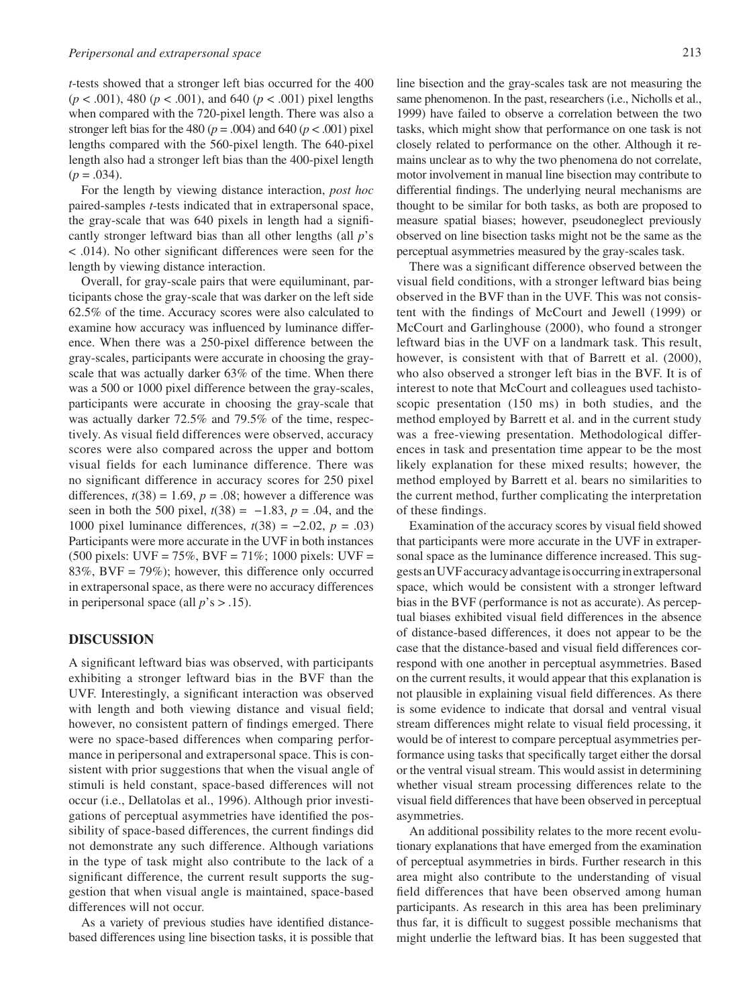*t* -tests showed that a stronger left bias occurred for the 400  $(p < .001)$ , 480  $(p < .001)$ , and 640  $(p < .001)$  pixel lengths when compared with the 720-pixel length. There was also a stronger left bias for the 480 ( $p = .004$ ) and 640 ( $p < .001$ ) pixel lengths compared with the 560-pixel length. The 640-pixel length also had a stronger left bias than the 400-pixel length  $(p=.034).$ 

 For the length by viewing distance interaction, *post hoc* paired-samples *t* -tests indicated that in extrapersonal space, the gray-scale that was 640 pixels in length had a significantly stronger leftward bias than all other lengths (all *p*'s  $<$  .014). No other significant differences were seen for the length by viewing distance interaction.

 Overall, for gray-scale pairs that were equiluminant, participants chose the gray-scale that was darker on the left side 62.5% of the time. Accuracy scores were also calculated to examine how accuracy was influenced by luminance difference. When there was a 250-pixel difference between the gray-scales, participants were accurate in choosing the grayscale that was actually darker 63% of the time. When there was a 500 or 1000 pixel difference between the gray-scales, participants were accurate in choosing the gray-scale that was actually darker 72.5% and 79.5% of the time, respectively. As visual field differences were observed, accuracy scores were also compared across the upper and bottom visual fields for each luminance difference. There was no significant difference in accuracy scores for 250 pixel differences,  $t(38) = 1.69$ ,  $p = .08$ ; however a difference was seen in both the 500 pixel,  $t(38) = −1.83$ ,  $p = .04$ , and the 1000 pixel luminance differences, *t* (38) = −2.02, *p* = .03) Participants were more accurate in the UVF in both instances  $(500 \text{ pixels: UVF} = 75\%, \text{BVF} = 71\%; 1000 \text{ pixels: UVF} =$ 83%, BVF = 79%); however, this difference only occurred in extrapersonal space, as there were no accuracy differences in peripersonal space (all  $p$ 's  $> .15$ ).

#### **DISCUSSION**

A significant leftward bias was observed, with participants exhibiting a stronger leftward bias in the BVF than the UVF. Interestingly, a significant interaction was observed with length and both viewing distance and visual field; however, no consistent pattern of findings emerged. There were no space-based differences when comparing performance in peripersonal and extrapersonal space. This is consistent with prior suggestions that when the visual angle of stimuli is held constant, space-based differences will not occur (i.e., Dellatolas et al., 1996 ). Although prior investigations of perceptual asymmetries have identified the possibility of space-based differences, the current findings did not demonstrate any such difference. Although variations in the type of task might also contribute to the lack of a significant difference, the current result supports the suggestion that when visual angle is maintained, space-based differences will not occur.

As a variety of previous studies have identified distancebased differences using line bisection tasks, it is possible that line bisection and the gray-scales task are not measuring the same phenomenon. In the past, researchers (i.e., Nicholls et al., 1999 ) have failed to observe a correlation between the two tasks, which might show that performance on one task is not closely related to performance on the other. Although it remains unclear as to why the two phenomena do not correlate, motor involvement in manual line bisection may contribute to differential findings. The underlying neural mechanisms are thought to be similar for both tasks, as both are proposed to measure spatial biases; however, pseudoneglect previously observed on line bisection tasks might not be the same as the perceptual asymmetries measured by the gray-scales task.

There was a significant difference observed between the visual field conditions, with a stronger leftward bias being observed in the BVF than in the UVF. This was not consistent with the findings of McCourt and Jewell (1999) or McCourt and Garlinghouse (2000), who found a stronger leftward bias in the UVF on a landmark task. This result, however, is consistent with that of Barrett et al. (2000), who also observed a stronger left bias in the BVF. It is of interest to note that McCourt and colleagues used tachistoscopic presentation (150 ms) in both studies, and the method employed by Barrett et al. and in the current study was a free-viewing presentation. Methodological differences in task and presentation time appear to be the most likely explanation for these mixed results; however, the method employed by Barrett et al. bears no similarities to the current method, further complicating the interpretation of these findings.

Examination of the accuracy scores by visual field showed that participants were more accurate in the UVF in extrapersonal space as the luminance difference increased. This suggests an UVF accuracy advantage is occurring in extrapersonal space, which would be consistent with a stronger leftward bias in the BVF (performance is not as accurate). As perceptual biases exhibited visual field differences in the absence of distance-based differences, it does not appear to be the case that the distance-based and visual field differences correspond with one another in perceptual asymmetries. Based on the current results, it would appear that this explanation is not plausible in explaining visual field differences. As there is some evidence to indicate that dorsal and ventral visual stream differences might relate to visual field processing, it would be of interest to compare perceptual asymmetries performance using tasks that specifically target either the dorsal or the ventral visual stream. This would assist in determining whether visual stream processing differences relate to the visual field differences that have been observed in perceptual asymmetries.

 An additional possibility relates to the more recent evolutionary explanations that have emerged from the examination of perceptual asymmetries in birds. Further research in this area might also contribute to the understanding of visual field differences that have been observed among human participants. As research in this area has been preliminary thus far, it is difficult to suggest possible mechanisms that might underlie the leftward bias. It has been suggested that